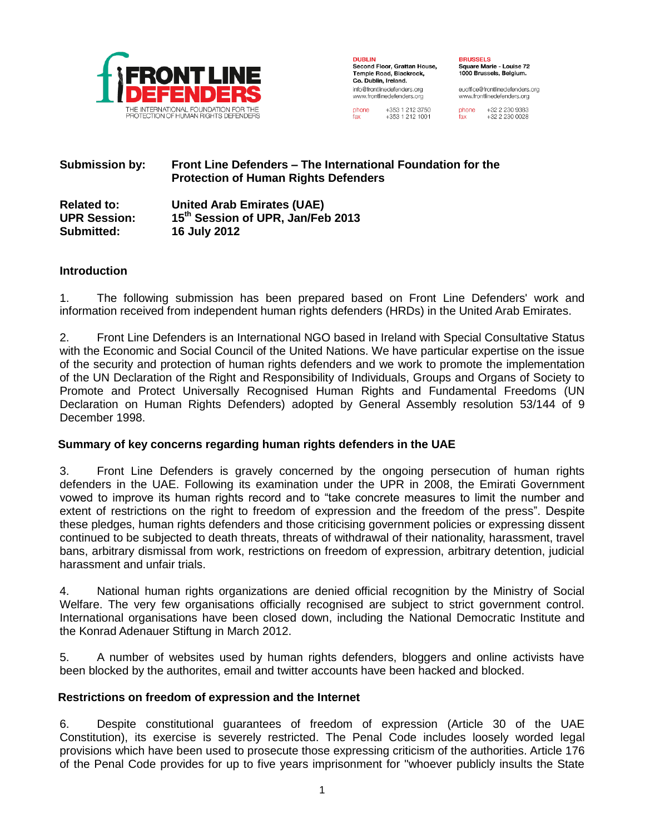

**DUBLIN** Second Floor, Grattan House, Temple Road, Blackrock. Co. Dublin, Ireland. info@frontlinedefenders.org www.frontlinedefenders.org

**BRUSSELS** Square Marie - Louise 72 1000 Brussels, Belgium.

euoffice@frontlinedefenders.org www.frontlinedefenders.org

phone +353 1 212 3750 +353 1 212 1001

+32 2 230 9383 phone +32 2 230 0028

#### **Submission by: Front Line Defenders – The International Foundation for the Protection of Human Rights Defenders**

**Related to: United Arab Emirates (UAE) UPR Session: 15th Session of UPR, Jan/Feb 2013 Submitted: 16 July 2012**

### **Introduction**

1. The following submission has been prepared based on Front Line Defenders' work and information received from independent human rights defenders (HRDs) in the United Arab Emirates.

2. Front Line Defenders is an International NGO based in Ireland with Special Consultative Status with the Economic and Social Council of the United Nations. We have particular expertise on the issue of the security and protection of human rights defenders and we work to promote the implementation of the UN Declaration of the Right and Responsibility of Individuals, Groups and Organs of Society to Promote and Protect Universally Recognised Human Rights and Fundamental Freedoms (UN Declaration on Human Rights Defenders) adopted by General Assembly resolution 53/144 of 9 December 1998.

#### **Summary of key concerns regarding human rights defenders in the UAE**

3. Front Line Defenders is gravely concerned by the ongoing persecution of human rights defenders in the UAE. Following its examination under the UPR in 2008, the Emirati Government vowed to improve its human rights record and to "take concrete measures to limit the number and extent of restrictions on the right to freedom of expression and the freedom of the press". Despite these pledges, human rights defenders and those criticising government policies or expressing dissent continued to be subjected to death threats, threats of withdrawal of their nationality, harassment, travel bans, arbitrary dismissal from work, restrictions on freedom of expression, arbitrary detention, judicial harassment and unfair trials.

4. National human rights organizations are denied official recognition by the Ministry of Social Welfare. The very few organisations officially recognised are subject to strict government control. International organisations have been closed down, including the National Democratic Institute and the Konrad Adenauer Stiftung in March 2012.

5. A number of websites used by human rights defenders, bloggers and online activists have been blocked by the authorites, email and twitter accounts have been hacked and blocked.

#### **Restrictions on freedom of expression and the Internet**

6. Despite constitutional guarantees of freedom of expression (Article 30 of the UAE Constitution), its exercise is severely restricted. The Penal Code includes loosely worded legal provisions which have been used to prosecute those expressing criticism of the authorities. Article 176 of the Penal Code provides for up to five years imprisonment for "whoever publicly insults the State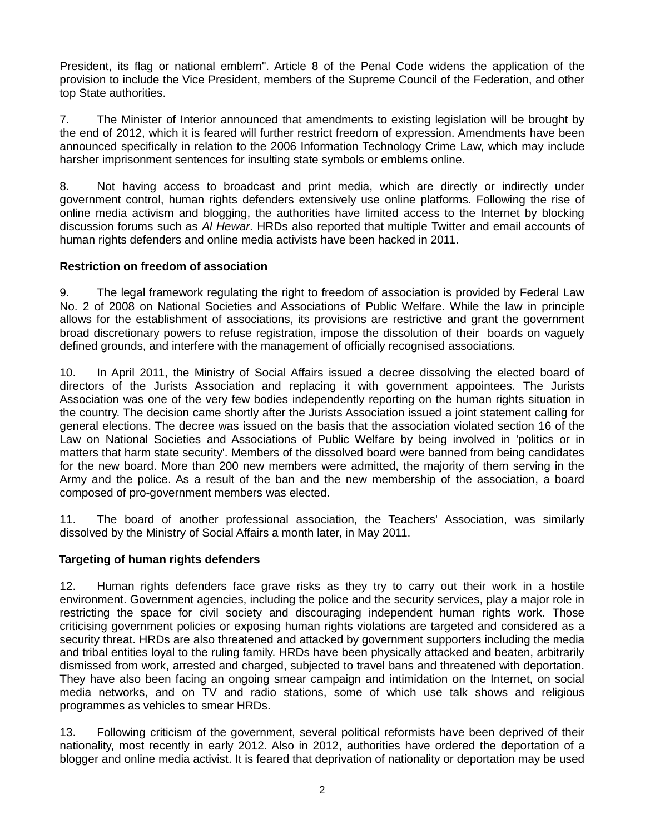President, its flag or national emblem". Article 8 of the Penal Code widens the application of the provision to include the Vice President, members of the Supreme Council of the Federation, and other top State authorities.

7. The Minister of Interior announced that amendments to existing legislation will be brought by the end of 2012, which it is feared will further restrict freedom of expression. Amendments have been announced specifically in relation to the 2006 Information Technology Crime Law, which may include harsher imprisonment sentences for insulting state symbols or emblems online.

8. Not having access to broadcast and print media, which are directly or indirectly under government control, human rights defenders extensively use online platforms. Following the rise of online media activism and blogging, the authorities have limited access to the Internet by blocking discussion forums such as *Al Hewar*. HRDs also reported that multiple Twitter and email accounts of human rights defenders and online media activists have been hacked in 2011.

#### **Restriction on freedom of association**

9. The legal framework regulating the right to freedom of association is provided by Federal Law No. 2 of 2008 on National Societies and Associations of Public Welfare. While the law in principle allows for the establishment of associations, its provisions are restrictive and grant the government broad discretionary powers to refuse registration, impose the dissolution of their boards on vaguely defined grounds, and interfere with the management of officially recognised associations.

10. In April 2011, the Ministry of Social Affairs issued a decree dissolving the elected board of directors of the Jurists Association and replacing it with government appointees. The Jurists Association was one of the very few bodies independently reporting on the human rights situation in the country. The decision came shortly after the Jurists Association issued a joint statement calling for general elections. The decree was issued on the basis that the association violated section 16 of the Law on National Societies and Associations of Public Welfare by being involved in 'politics or in matters that harm state security'. Members of the dissolved board were banned from being candidates for the new board. More than 200 new members were admitted, the majority of them serving in the Army and the police. As a result of the ban and the new membership of the association, a board composed of pro-government members was elected.

11. The board of another professional association, the Teachers' Association, was similarly dissolved by the Ministry of Social Affairs a month later, in May 2011.

# **Targeting of human rights defenders**

12. Human rights defenders face grave risks as they try to carry out their work in a hostile environment. Government agencies, including the police and the security services, play a major role in restricting the space for civil society and discouraging independent human rights work. Those criticising government policies or exposing human rights violations are targeted and considered as a security threat. HRDs are also threatened and attacked by government supporters including the media and tribal entities loyal to the ruling family. HRDs have been physically attacked and beaten, arbitrarily dismissed from work, arrested and charged, subjected to travel bans and threatened with deportation. They have also been facing an ongoing smear campaign and intimidation on the Internet, on social media networks, and on TV and radio stations, some of which use talk shows and religious programmes as vehicles to smear HRDs.

13. Following criticism of the government, several political reformists have been deprived of their nationality, most recently in early 2012. Also in 2012, authorities have ordered the deportation of a blogger and online media activist. It is feared that deprivation of nationality or deportation may be used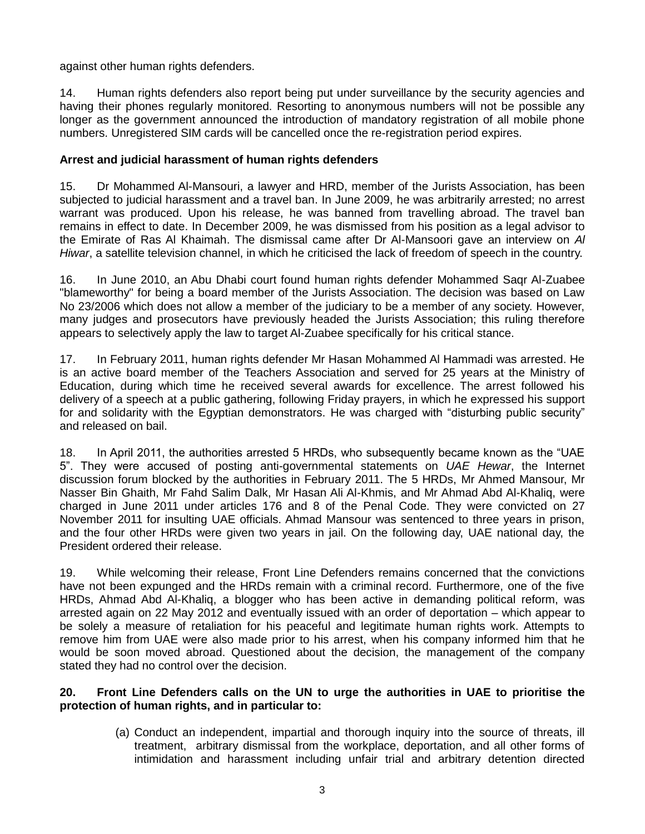against other human rights defenders.

14. Human rights defenders also report being put under surveillance by the security agencies and having their phones regularly monitored. Resorting to anonymous numbers will not be possible any longer as the government announced the introduction of mandatory registration of all mobile phone numbers. Unregistered SIM cards will be cancelled once the re-registration period expires.

## **Arrest and judicial harassment of human rights defenders**

15. Dr Mohammed Al-Mansouri, a lawyer and HRD, member of the Jurists Association, has been subjected to judicial harassment and a travel ban. In June 2009, he was arbitrarily arrested; no arrest warrant was produced. Upon his release, he was banned from travelling abroad. The travel ban remains in effect to date. In December 2009, he was dismissed from his position as a legal advisor to the Emirate of Ras Al Khaimah. The dismissal came after Dr Al-Mansoori gave an interview on *Al Hiwar*, a satellite television channel, in which he criticised the lack of freedom of speech in the country.

16. In June 2010, an Abu Dhabi court found human rights defender Mohammed Saqr Al-Zuabee "blameworthy" for being a board member of the Jurists Association. The decision was based on Law No 23/2006 which does not allow a member of the judiciary to be a member of any society. However, many judges and prosecutors have previously headed the Jurists Association; this ruling therefore appears to selectively apply the law to target Al-Zuabee specifically for his critical stance.

17. In February 2011, human rights defender Mr Hasan Mohammed Al Hammadi was arrested. He is an active board member of the Teachers Association and served for 25 years at the Ministry of Education, during which time he received several awards for excellence. The arrest followed his delivery of a speech at a public gathering, following Friday prayers, in which he expressed his support for and solidarity with the Egyptian demonstrators. He was charged with "disturbing public security" and released on bail.

18. In April 2011, the authorities arrested 5 HRDs, who subsequently became known as the "UAE 5". They were accused of posting anti-governmental statements on *UAE Hewar*, the Internet discussion forum blocked by the authorities in February 2011. The 5 HRDs, Mr Ahmed Mansour, Mr Nasser Bin Ghaith, Mr Fahd Salim Dalk, Mr Hasan Ali Al-Khmis, and Mr Ahmad Abd Al-Khaliq, were charged in June 2011 under articles 176 and 8 of the Penal Code. They were convicted on 27 November 2011 for insulting UAE officials. Ahmad Mansour was sentenced to three years in prison, and the four other HRDs were given two years in jail. On the following day, UAE national day, the President ordered their release.

19. While welcoming their release, Front Line Defenders remains concerned that the convictions have not been expunged and the HRDs remain with a criminal record. Furthermore, one of the five HRDs, Ahmad Abd Al-Khaliq, a blogger who has been active in demanding political reform, was arrested again on 22 May 2012 and eventually issued with an order of deportation – which appear to be solely a measure of retaliation for his peaceful and legitimate human rights work. Attempts to remove him from UAE were also made prior to his arrest, when his company informed him that he would be soon moved abroad. Questioned about the decision, the management of the company stated they had no control over the decision.

#### **20. Front Line Defenders calls on the UN to urge the authorities in UAE to prioritise the protection of human rights, and in particular to:**

(a) Conduct an independent, impartial and thorough inquiry into the source of threats, ill treatment, arbitrary dismissal from the workplace, deportation, and all other forms of intimidation and harassment including unfair trial and arbitrary detention directed